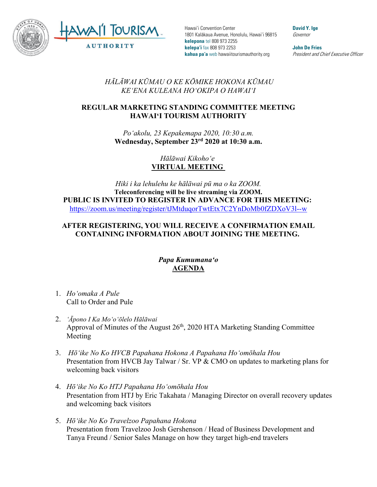

Hawai'i Convention Center 1801 Kalākaua Avenue, Honolulu, Hawai'i 96815 **kelepona** tel 808 973 2255 **kelepa'i** fax 808 973 2253 **kahua pa'a** web hawaiitourismauthority.org

**David Y. Ige** Governor

**John De Fries** President and Chief Executive Officer

*HĀLĀWAI KŪMAU O KE KŌMIKE HOKONA KŪMAU KEʻENA KULEANA HOʻOKIPA O HAWAIʻI* 

## **REGULAR MARKETING STANDING COMMITTEE MEETING HAWAI'I TOURISM AUTHORITY**

*Poʻakolu, 23 Kepakemapa 2020, 10:30 a.m.* **Wednesday, September 23rd 2020 at 10:30 a.m.**

> *Hālāwai Kikohoʻe* **VIRTUAL MEETING**

*Hiki i ka lehulehu ke hālāwai pū ma o ka ZOOM.* **Teleconferencing will be live streaming via ZOOM. PUBLIC IS INVITED TO REGISTER IN ADVANCE FOR THIS MEETING:** <https://zoom.us/meeting/register/tJMtduqorTwtEtx7C2YnDoMb0fZDXoV3l--w>

## **AFTER REGISTERING, YOU WILL RECEIVE A CONFIRMATION EMAIL CONTAINING INFORMATION ABOUT JOINING THE MEETING.**

## *Papa Kumumanaʻo* **AGENDA**

- 1. *Hoʻomaka A Pule* Call to Order and Pule
- 2. *ʻĀpono I Ka Moʻoʻōlelo Hālāwai* Approval of Minutes of the August  $26<sup>th</sup>$ , 2020 HTA Marketing Standing Committee Meeting
- 3. *Hōʻike No Ko HVCB Papahana Hokona A Papahana Hoʻomōhala Hou* Presentation from HVCB Jay Talwar / Sr. VP & CMO on updates to marketing plans for welcoming back visitors
- 4. *Hōʻike No Ko HTJ Papahana Hoʻomōhala Hou* Presentation from HTJ by Eric Takahata / Managing Director on overall recovery updates and welcoming back visitors
- 5. *Hōʻike No Ko Travelzoo Papahana Hokona*  Presentation from Travelzoo Josh Gershenson / Head of Business Development and Tanya Freund / Senior Sales Manage on how they target high-end travelers